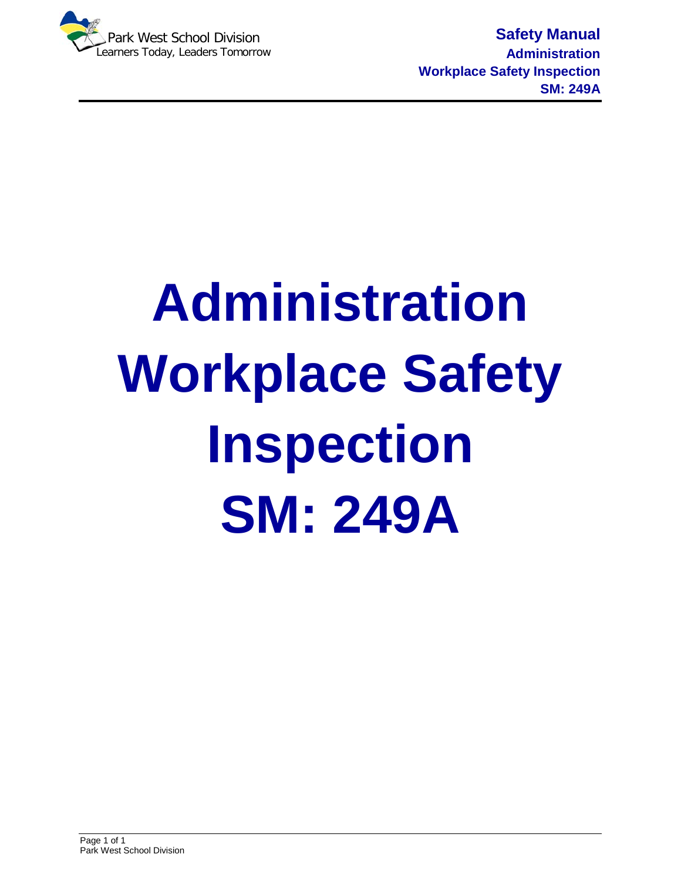

**Safety Manual Administration Workplace Safety Inspection SM: 249A**

# **Administration Workplace Safety Inspection SM: 249A**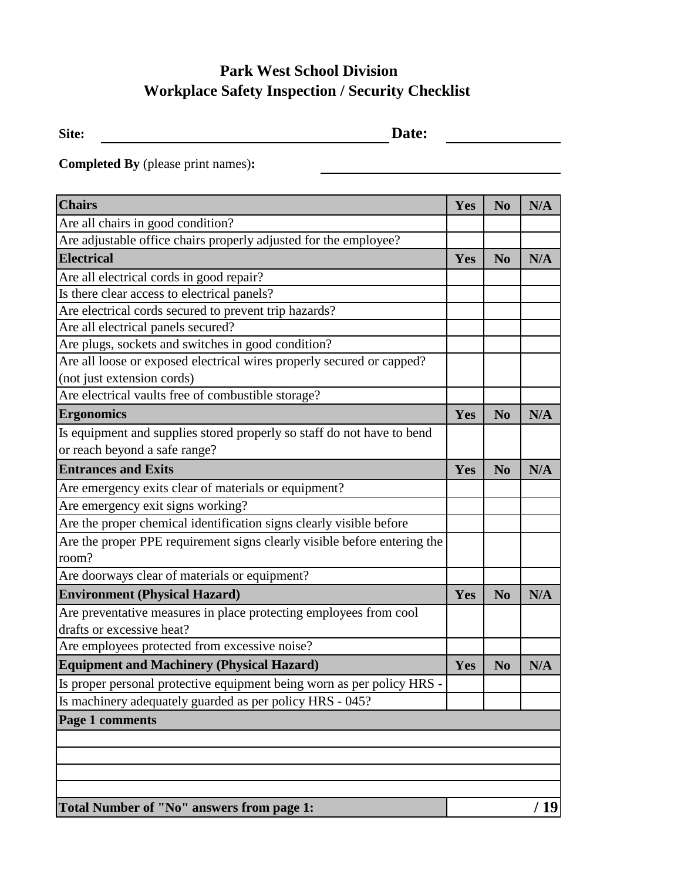#### **Park West School Division Workplace Safety Inspection / Security Checklist**

Site: <u>**Date:** Date:</u>

<u>and the contract of the contract of the contract of the contract of the contract of the contract of the contract of the contract of the contract of the contract of the contract of the contract of the contract of the contr</u>

 $\overline{\phantom{a}}$ 

**Completed By** (please print names)**:**

| <b>Chairs</b>                                                                                       | Yes | N <sub>0</sub> | N/A  |
|-----------------------------------------------------------------------------------------------------|-----|----------------|------|
| Are all chairs in good condition?                                                                   |     |                |      |
| Are adjustable office chairs properly adjusted for the employee?                                    |     |                |      |
| <b>Electrical</b>                                                                                   | Yes | N <sub>0</sub> | N/A  |
| Are all electrical cords in good repair?                                                            |     |                |      |
| Is there clear access to electrical panels?                                                         |     |                |      |
| Are electrical cords secured to prevent trip hazards?                                               |     |                |      |
| Are all electrical panels secured?                                                                  |     |                |      |
| Are plugs, sockets and switches in good condition?                                                  |     |                |      |
| Are all loose or exposed electrical wires properly secured or capped?<br>(not just extension cords) |     |                |      |
| Are electrical vaults free of combustible storage?                                                  |     |                |      |
| <b>Ergonomics</b>                                                                                   | Yes | N <sub>o</sub> | N/A  |
| Is equipment and supplies stored properly so staff do not have to bend                              |     |                |      |
| or reach beyond a safe range?                                                                       |     |                |      |
| <b>Entrances and Exits</b>                                                                          | Yes | N <sub>0</sub> | N/A  |
| Are emergency exits clear of materials or equipment?                                                |     |                |      |
| Are emergency exit signs working?                                                                   |     |                |      |
| Are the proper chemical identification signs clearly visible before                                 |     |                |      |
| Are the proper PPE requirement signs clearly visible before entering the                            |     |                |      |
| room?                                                                                               |     |                |      |
| Are doorways clear of materials or equipment?                                                       |     |                |      |
| <b>Environment (Physical Hazard)</b>                                                                | Yes | N <sub>o</sub> | N/A  |
| Are preventative measures in place protecting employees from cool                                   |     |                |      |
| drafts or excessive heat?                                                                           |     |                |      |
| Are employees protected from excessive noise?                                                       |     |                |      |
| <b>Equipment and Machinery (Physical Hazard)</b>                                                    | Yes | N <sub>0</sub> | N/A  |
| Is proper personal protective equipment being worn as per policy HRS -                              |     |                |      |
| Is machinery adequately guarded as per policy HRS - 045?                                            |     |                |      |
| Page 1 comments                                                                                     |     |                |      |
|                                                                                                     |     |                |      |
|                                                                                                     |     |                |      |
|                                                                                                     |     |                |      |
|                                                                                                     |     |                |      |
| Total Number of "No" answers from page 1:                                                           |     |                | / 19 |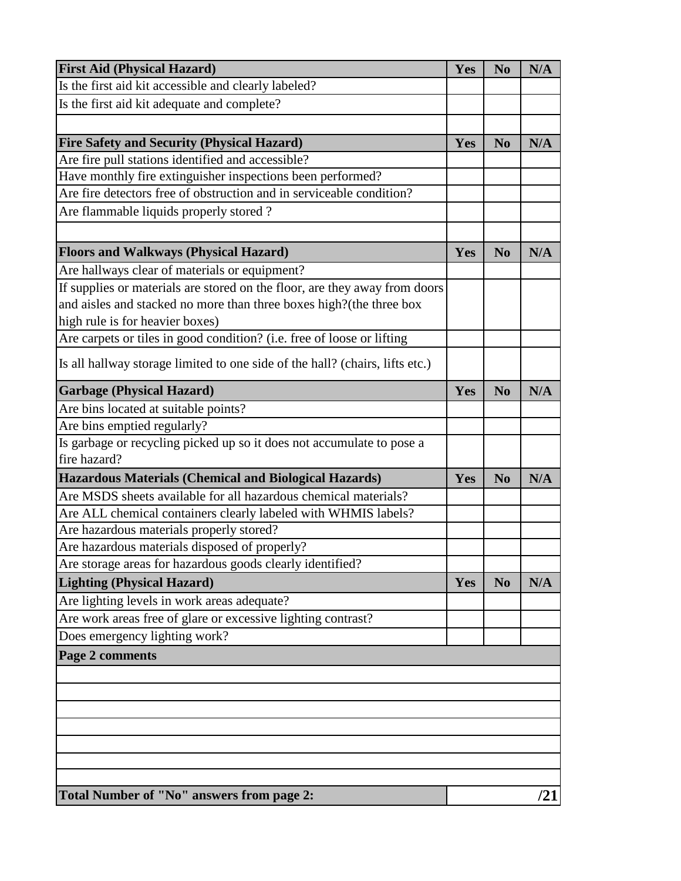| <b>First Aid (Physical Hazard)</b>                                           | Yes | N <sub>0</sub> | N/A |
|------------------------------------------------------------------------------|-----|----------------|-----|
| Is the first aid kit accessible and clearly labeled?                         |     |                |     |
| Is the first aid kit adequate and complete?                                  |     |                |     |
|                                                                              |     |                |     |
| <b>Fire Safety and Security (Physical Hazard)</b>                            | Yes | N <sub>0</sub> | N/A |
| Are fire pull stations identified and accessible?                            |     |                |     |
| Have monthly fire extinguisher inspections been performed?                   |     |                |     |
| Are fire detectors free of obstruction and in serviceable condition?         |     |                |     |
| Are flammable liquids properly stored?                                       |     |                |     |
|                                                                              |     |                |     |
| <b>Floors and Walkways (Physical Hazard)</b>                                 | Yes | N <sub>0</sub> | N/A |
| Are hallways clear of materials or equipment?                                |     |                |     |
| If supplies or materials are stored on the floor, are they away from doors   |     |                |     |
| and aisles and stacked no more than three boxes high? (the three box         |     |                |     |
| high rule is for heavier boxes)                                              |     |                |     |
| Are carpets or tiles in good condition? (i.e. free of loose or lifting       |     |                |     |
| Is all hallway storage limited to one side of the hall? (chairs, lifts etc.) |     |                |     |
| <b>Garbage (Physical Hazard)</b>                                             | Yes | N <sub>0</sub> | N/A |
| Are bins located at suitable points?                                         |     |                |     |
| Are bins emptied regularly?                                                  |     |                |     |
| Is garbage or recycling picked up so it does not accumulate to pose a        |     |                |     |
| fire hazard?                                                                 |     |                |     |
| <b>Hazardous Materials (Chemical and Biological Hazards)</b>                 | Yes | N <sub>0</sub> | N/A |
| Are MSDS sheets available for all hazardous chemical materials?              |     |                |     |
| Are ALL chemical containers clearly labeled with WHMIS labels?               |     |                |     |
| Are hazardous materials properly stored?                                     |     |                |     |
| Are hazardous materials disposed of properly?                                |     |                |     |
| Are storage areas for hazardous goods clearly identified?                    |     |                |     |
| <b>Lighting (Physical Hazard)</b>                                            | Yes | N <sub>0</sub> | N/A |
| Are lighting levels in work areas adequate?                                  |     |                |     |
| Are work areas free of glare or excessive lighting contrast?                 |     |                |     |
| Does emergency lighting work?                                                |     |                |     |
| Page 2 comments                                                              |     |                |     |
|                                                                              |     |                |     |
|                                                                              |     |                |     |
|                                                                              |     |                |     |
|                                                                              |     |                |     |
|                                                                              |     |                |     |
|                                                                              |     |                |     |
|                                                                              |     |                |     |
| Total Number of "No" answers from page 2:                                    |     |                | /21 |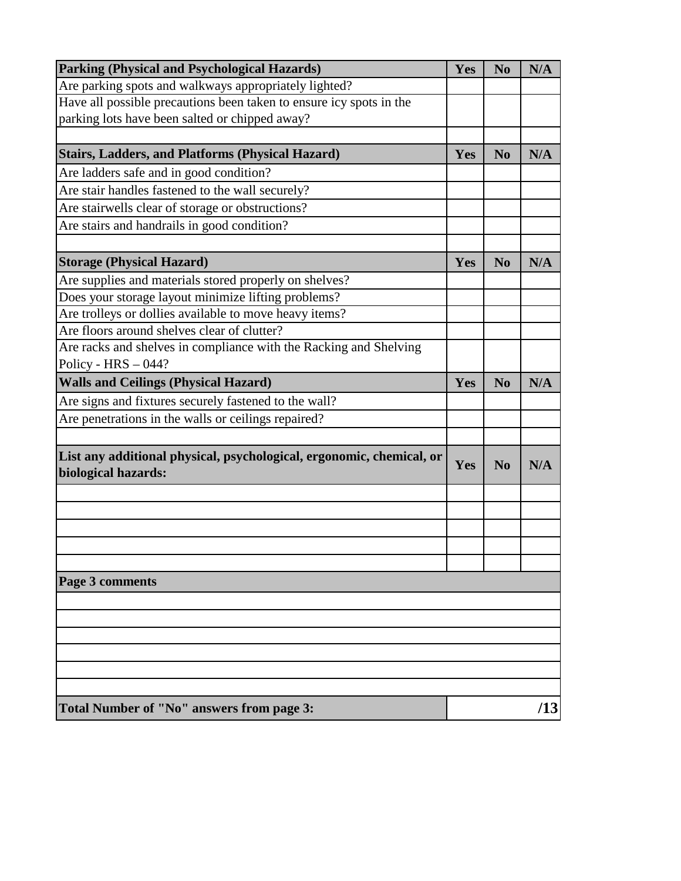| Parking (Physical and Psychological Hazards)                                                | Yes | N <sub>0</sub> | N/A |
|---------------------------------------------------------------------------------------------|-----|----------------|-----|
| Are parking spots and walkways appropriately lighted?                                       |     |                |     |
| Have all possible precautions been taken to ensure icy spots in the                         |     |                |     |
| parking lots have been salted or chipped away?                                              |     |                |     |
|                                                                                             |     |                |     |
| <b>Stairs, Ladders, and Platforms (Physical Hazard)</b>                                     | Yes | N <sub>0</sub> | N/A |
| Are ladders safe and in good condition?                                                     |     |                |     |
| Are stair handles fastened to the wall securely?                                            |     |                |     |
| Are stairwells clear of storage or obstructions?                                            |     |                |     |
| Are stairs and handrails in good condition?                                                 |     |                |     |
|                                                                                             |     |                |     |
| <b>Storage (Physical Hazard)</b>                                                            | Yes | N <sub>0</sub> | N/A |
| Are supplies and materials stored properly on shelves?                                      |     |                |     |
| Does your storage layout minimize lifting problems?                                         |     |                |     |
| Are trolleys or dollies available to move heavy items?                                      |     |                |     |
| Are floors around shelves clear of clutter?                                                 |     |                |     |
| Are racks and shelves in compliance with the Racking and Shelving                           |     |                |     |
| Policy - $HRS - 044$ ?                                                                      |     |                |     |
| <b>Walls and Ceilings (Physical Hazard)</b>                                                 | Yes | N <sub>0</sub> | N/A |
| Are signs and fixtures securely fastened to the wall?                                       |     |                |     |
| Are penetrations in the walls or ceilings repaired?                                         |     |                |     |
|                                                                                             |     |                |     |
| List any additional physical, psychological, ergonomic, chemical, or<br>biological hazards: | Yes | N <sub>0</sub> | N/A |
|                                                                                             |     |                |     |
|                                                                                             |     |                |     |
|                                                                                             |     |                |     |
|                                                                                             |     |                |     |
|                                                                                             |     |                |     |
| Page 3 comments                                                                             |     |                |     |
|                                                                                             |     |                |     |
|                                                                                             |     |                |     |
|                                                                                             |     |                |     |
|                                                                                             |     |                |     |
|                                                                                             |     |                |     |
|                                                                                             |     |                |     |
| Total Number of "No" answers from page 3:                                                   | /13 |                |     |